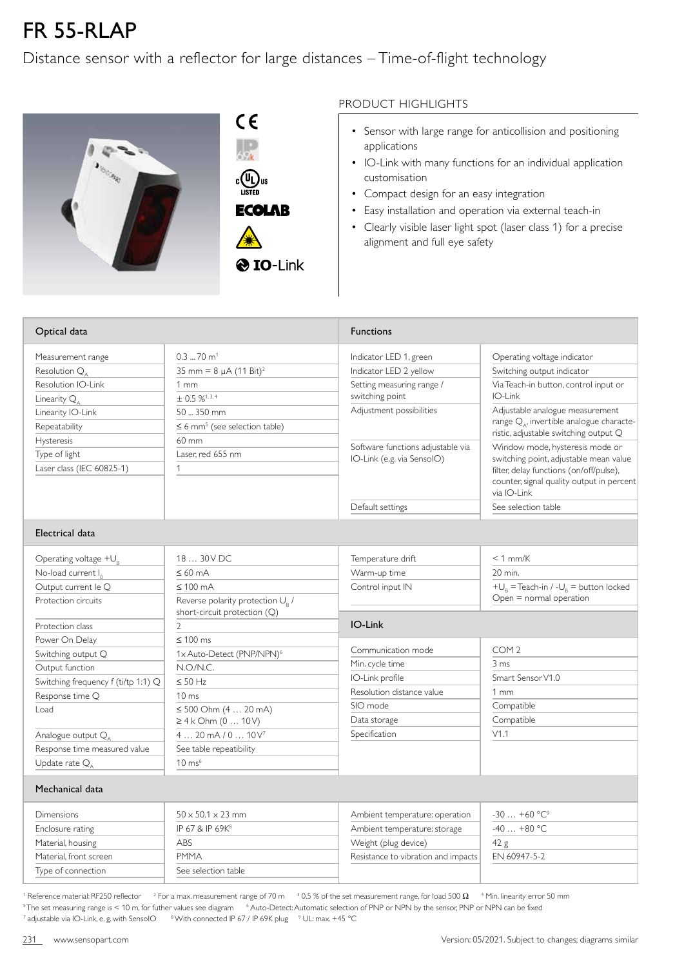## FR 55-RLAP

## Distance sensor with a reflector for large distances – Time-of-flight technology



 $C \in$  $\begin{matrix} \begin{smallmatrix} 0 \\ \text{LISTED} \end{smallmatrix} \end{matrix}$ **ECOLAB** 

## PRODUCT HIGHLIGHTS

- Sensor with large range for anticollision and positioning applications
- IO-Link with many functions for an individual application customisation
- Compact design for an easy integration
- Easy installation and operation via external teach-in
- Clearly visible laser light spot (laser class 1) for a precise alignment and full eye safety

| Optical data                               |                                                | <b>Functions</b>                             |                                                                                                                                  |  |  |
|--------------------------------------------|------------------------------------------------|----------------------------------------------|----------------------------------------------------------------------------------------------------------------------------------|--|--|
| Measurement range                          | $0.3$ 70 m <sup>1</sup>                        | Indicator LED 1, green                       | Operating voltage indicator                                                                                                      |  |  |
| Resolution $Q_{\scriptscriptstyle \wedge}$ | 35 mm = $8 \mu A (11 \text{ Bit})^2$           | Indicator LED 2 yellow                       | Switching output indicator                                                                                                       |  |  |
| Resolution IO-Link                         | 1mm                                            | Setting measuring range /                    | Via Teach-in button, control input or                                                                                            |  |  |
| Linearity $Q_{\scriptscriptstyle A}$       | $+$ 0.5 % <sup>1, 3, 4</sup>                   | switching point                              | IO-Link                                                                                                                          |  |  |
| Linearity IO-Link                          | 50  350 mm                                     | Adjustment possibilities                     | Adjustable analogue measurement<br>range Q <sub>4</sub> , invertible analogue characte-<br>ristic, adjustable switching output Q |  |  |
| Repeatability                              | $\leq$ 6 mm <sup>5</sup> (see selection table) |                                              |                                                                                                                                  |  |  |
| <b>Hysteresis</b>                          | 60 mm                                          | Software functions adjustable via            | Window mode, hysteresis mode or                                                                                                  |  |  |
| Type of light                              | Laser, red 655 nm                              | IO-Link (e.g. via SensolO)                   | switching point, adjustable mean value<br>filter, delay functions (on/off/pulse),                                                |  |  |
| Laser class (IEC 60825-1)                  | $\mathbf{1}$                                   |                                              |                                                                                                                                  |  |  |
|                                            |                                                |                                              | counter, signal quality output in percent<br>via IO-Link                                                                         |  |  |
|                                            |                                                | Default settings                             | See selection table                                                                                                              |  |  |
| Electrical data                            |                                                |                                              |                                                                                                                                  |  |  |
| Operating voltage $+U_R$                   | 18  30 V DC                                    | Temperature drift                            | $< 1$ mm/K                                                                                                                       |  |  |
| No-load current I <sub>0</sub>             | $\leq 60$ mA                                   | Warm-up time                                 | 20 min.                                                                                                                          |  |  |
| Output current le Q                        | $\leq 100$ mA                                  | Control input IN                             | $+U_R$ = Teach-in / - $U_R$ = button locked                                                                                      |  |  |
| Protection circuits                        | Reverse polarity protection U <sub>B</sub> /   |                                              | Open = normal operation                                                                                                          |  |  |
|                                            | short-circuit protection (Q)                   |                                              |                                                                                                                                  |  |  |
| Protection class                           | $\overline{2}$                                 | IO-Link                                      |                                                                                                                                  |  |  |
| Power On Delay                             | $\leq 100$ ms                                  |                                              | COM <sub>2</sub>                                                                                                                 |  |  |
| Switching output Q                         | 1x Auto-Detect (PNP/NPN) <sup>6</sup>          | Communication mode                           |                                                                                                                                  |  |  |
| Output function                            | N.O./N.C.                                      | Min. cycle time                              | $3 \text{ ms}$<br>Smart Sensor V1.0                                                                                              |  |  |
| Switching frequency f (ti/tp 1:1) Q        | $\leq$ 50 Hz                                   | IO-Link profile<br>Resolution distance value | 1mm                                                                                                                              |  |  |
| Response time Q                            | $10 \text{ ms}$                                |                                              |                                                                                                                                  |  |  |
| Load                                       | $\leq 500$ Ohm $(4  20$ mA)                    | SIO mode                                     | Compatible                                                                                                                       |  |  |
|                                            | ≥ 4 k Ohm (0  10 V)                            | Data storage<br>Specification                | Compatible<br>V1.1                                                                                                               |  |  |
| Analogue output Q <sub>A</sub>             | $420$ mA $/010V^{7}$                           |                                              |                                                                                                                                  |  |  |
| Response time measured value               | See table repeatibility<br>$10 \text{ ms}^6$   |                                              |                                                                                                                                  |  |  |
| Update rate $Q_{\Delta}$                   |                                                |                                              |                                                                                                                                  |  |  |
| Mechanical data                            |                                                |                                              |                                                                                                                                  |  |  |
| Dimensions                                 | $50 \times 50.1 \times 23$ mm                  | Ambient temperature: operation               | $-30+60 °C^9$                                                                                                                    |  |  |
| Enclosure rating                           | IP 67 & IP 69K <sup>8</sup>                    | Ambient temperature: storage                 | $-40+80$ °C                                                                                                                      |  |  |
| Material, housing                          | ABS                                            | Weight (plug device)                         | 42 g                                                                                                                             |  |  |
| Material, front screen                     | <b>PMMA</b>                                    | Resistance to vibration and impacts          | EN 60947-5-2                                                                                                                     |  |  |
| Type of connection                         | See selection table                            |                                              |                                                                                                                                  |  |  |
|                                            |                                                |                                              |                                                                                                                                  |  |  |

 $^{\rm 1}$  Reference material: RF250 reflector  $^{-2}$  For a max, measurement range of 70 m  $^{-3}$  0.5 % of the set measurement range, for load 500  $\Omega$   $^{-4}$  Min. linearity error 50 mm  $^5$ The set measuring range is < 10 m, for futher values see diagram  $\phantom{0}^6$  Auto-Detect: Automatic selection of PNP or NPN by the sensor, PNP or NPN can be fixed  $^7$  adjustable via IO-Link, e. g. with SensoIO  $^8$  With connected IP 67 / IP 69K plug  $^9$  UL: max. +45 °C